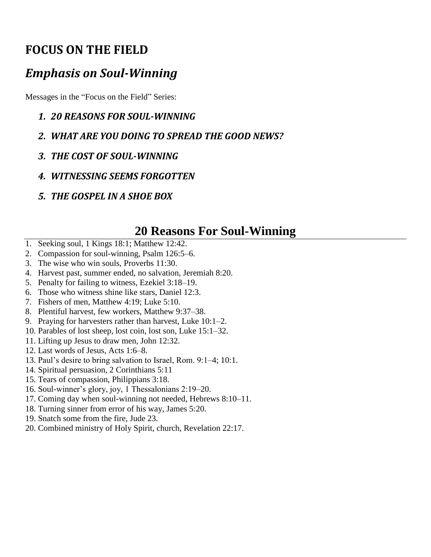### **FOCUS ON THE FIELD**

### *Emphasis on Soul-Winning*

Messages in the "Focus on the Field" Series:

- *1. 20 REASONS FOR SOUL-WINNING*
- *2. WHAT ARE YOU DOING TO SPREAD THE GOOD NEWS?*
- *3. THE COST OF SOUL-WINNING*
- *4. WITNESSING SEEMS FORGOTTEN*
- *5. THE GOSPEL IN A SHOE BOX*

### **20 Reasons For Soul-Winning**

- 1. Seeking soul, 1 Kings 18:1; Matthew 12:42.
- 2. Compassion for soul-winning, Psalm 126:5–6.
- 3. The wise who win souls, Proverbs 11:30.
- 4. Harvest past, summer ended, no salvation, Jeremiah 8:20.
- 5. Penalty for failing to witness, Ezekiel 3:18–19.
- 6. Those who witness shine like stars, Daniel 12:3.
- 7. Fishers of men, Matthew 4:19; Luke 5:10.
- 8. Plentiful harvest, few workers, Matthew 9:37–38.
- 9. Praying for harvesters rather than harvest, Luke 10:1–2.
- 10. Parables of lost sheep, lost coin, lost son, Luke 15:1–32.
- 11. Lifting up Jesus to draw men, John 12:32.
- 12. Last words of Jesus, Acts 1:6–8.
- 13. Paul's desire to bring salvation to Israel, Rom. 9:1–4; 10:1.
- 14. Spiritual persuasion, 2 Corinthians 5:11
- 15. Tears of compassion, Philippians 3:18.
- 16. Soul-winner's glory, joy, 1 Thessalonians 2:19–20.
- 17. Coming day when soul-winning not needed, Hebrews 8:10–11.
- 18. Turning sinner from error of his way, James 5:20.
- 19. Snatch some from the fire, Jude 23.
- 20. Combined ministry of Holy Spirit, church, Revelation 22:17.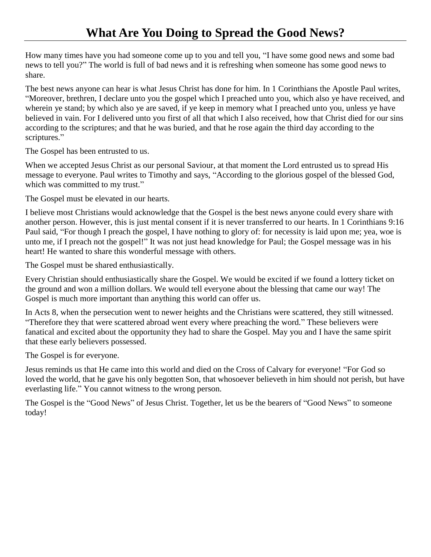How many times have you had someone come up to you and tell you, "I have some good news and some bad news to tell you?" The world is full of bad news and it is refreshing when someone has some good news to share.

The best news anyone can hear is what Jesus Christ has done for him. In 1 Corinthians the Apostle Paul writes, "Moreover, brethren, I declare unto you the gospel which I preached unto you, which also ye have received, and wherein ye stand; by which also ye are saved, if ye keep in memory what I preached unto you, unless ye have believed in vain. For I delivered unto you first of all that which I also received, how that Christ died for our sins according to the scriptures; and that he was buried, and that he rose again the third day according to the scriptures."

The Gospel has been entrusted to us.

When we accepted Jesus Christ as our personal Saviour, at that moment the Lord entrusted us to spread His message to everyone. Paul writes to Timothy and says, "According to the glorious gospel of the blessed God, which was committed to my trust."

The Gospel must be elevated in our hearts.

I believe most Christians would acknowledge that the Gospel is the best news anyone could every share with another person. However, this is just mental consent if it is never transferred to our hearts. In 1 Corinthians 9:16 Paul said, "For though I preach the gospel, I have nothing to glory of: for necessity is laid upon me; yea, woe is unto me, if I preach not the gospel!" It was not just head knowledge for Paul; the Gospel message was in his heart! He wanted to share this wonderful message with others.

The Gospel must be shared enthusiastically.

Every Christian should enthusiastically share the Gospel. We would be excited if we found a lottery ticket on the ground and won a million dollars. We would tell everyone about the blessing that came our way! The Gospel is much more important than anything this world can offer us.

In Acts 8, when the persecution went to newer heights and the Christians were scattered, they still witnessed. "Therefore they that were scattered abroad went every where preaching the word." These believers were fanatical and excited about the opportunity they had to share the Gospel. May you and I have the same spirit that these early believers possessed.

The Gospel is for everyone.

Jesus reminds us that He came into this world and died on the Cross of Calvary for everyone! "For God so loved the world, that he gave his only begotten Son, that whosoever believeth in him should not perish, but have everlasting life." You cannot witness to the wrong person.

The Gospel is the "Good News" of Jesus Christ. Together, let us be the bearers of "Good News" to someone today!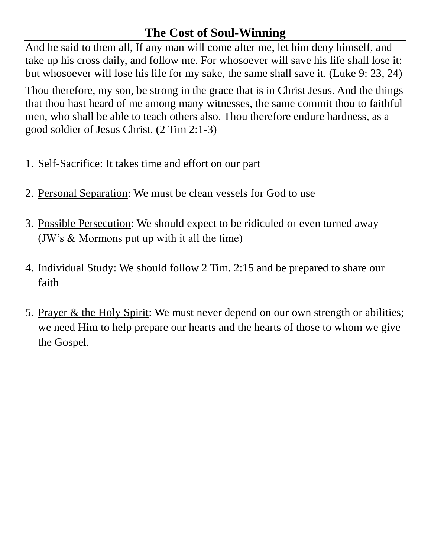### **The Cost of Soul-Winning**

And he said to them all, If any man will come after me, let him deny himself, and take up his cross daily, and follow me. For whosoever will save his life shall lose it: but whosoever will lose his life for my sake, the same shall save it. (Luke 9: 23, 24)

Thou therefore, my son, be strong in the grace that is in Christ Jesus. And the things that thou hast heard of me among many witnesses, the same commit thou to faithful men, who shall be able to teach others also. Thou therefore endure hardness, as a good soldier of Jesus Christ. (2 Tim 2:1-3)

- 1. Self-Sacrifice: It takes time and effort on our part
- 2. Personal Separation: We must be clean vessels for God to use
- 3. Possible Persecution: We should expect to be ridiculed or even turned away (JW's & Mormons put up with it all the time)
- 4. Individual Study: We should follow 2 Tim. 2:15 and be prepared to share our faith
- 5. Prayer & the Holy Spirit: We must never depend on our own strength or abilities; we need Him to help prepare our hearts and the hearts of those to whom we give the Gospel.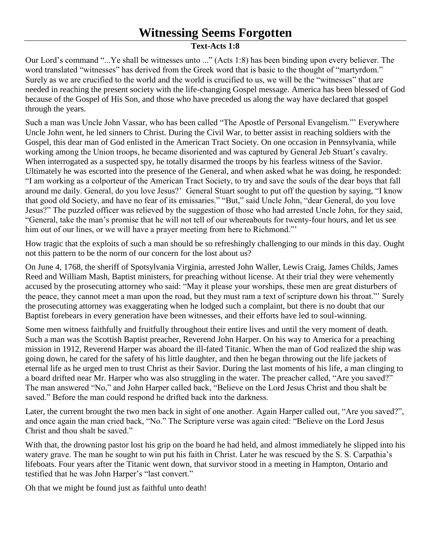# **Witnessing Seems Forgotten**

#### **Text-Acts 1:8**

Our Lord's command "...Ye shall be witnesses unto ..." (Acts 1:8) has been binding upon every believer. The word translated "witnesses" has derived from the Greek word that is basic to the thought of "martyrdom." Surely as we are crucified to the world and the world is crucified to us, we will be the "witnesses" that are needed in reaching the present society with the life-changing Gospel message. America has been blessed of God because of the Gospel of His Son, and those who have preceded us along the way have declared that gospel through the years.

Such a man was Uncle John Vassar, who has been called "The Apostle of Personal Evangelism."' Everywhere Uncle John went, he led sinners to Christ. During the Civil War, to better assist in reaching soldiers with the Gospel, this dear man of God enlisted in the American Tract Society. On one occasion in Pennsylvania, while working among the Union troops, he became disoriented and was captured by General Jeb Stuart's cavalry. When interrogated as a suspected spy, he totally disarmed the troops by his fearless witness of the Savior. Ultimately he was escorted into the presence of the General, and when asked what he was doing, he responded: "I am working as a colporteur of the American Tract Society, to try and save the souls of the dear boys that fall around me daily. General, do you love Jesus?' General Stuart sought to put off the question by saying, "I know that good old Society, and have no fear of its emissaries." "But," said Uncle John, "dear General, do you love Jesus?" The puzzled officer was relieved by the suggestion of those who had arrested Uncle John, for they said, "General, take the man's promise that he will not tell of our whereabouts for twenty-four hours, and let us see him out of our lines, or we will have a prayer meeting from here to Richmond."

How tragic that the exploits of such a man should be so refreshingly challenging to our minds in this day. Ought not this pattern to be the norm of our concern for the lost about us?

On June 4, 1768, the sheriff of Spotsylvania Virginia, arrested John Waller, Lewis Craig, James Childs, James Reed and William Mash, Baptist ministers, for preaching without license. At their trial they were vehemently accused by the prosecuting attorney who said: "May it please your worships, these men are great disturbers of the peace, they cannot meet a man upon the road, but they must ram a text of scripture down his throat."' Surely the prosecuting attorney was exaggerating when he lodged such a complaint, but there is no doubt that our Baptist forebears in every generation have been witnesses, and their efforts have led to soul-winning.

Some men witness faithfully and fruitfully throughout their entire lives and until the very moment of death. Such a man was the Scottish Baptist preacher, Reverend John Harper. On his way to America for a preaching mission in 1912, Reverend Harper was aboard the ill-fated Titanic. When the man of God realized the ship was going down, he cared for the safety of his little daughter, and then he began throwing out the life jackets of eternal life as he urged men to trust Christ as their Savior. During the last moments of his life, a man clinging to a board drifted near Mr. Harper who was also struggling in the water. The preacher called, "Are you saved?" The man answered "No," and John Harper called back, "Believe on the Lord Jesus Christ and thou shalt be saved." Before the man could respond he drifted back into the darkness.

Later, the current brought the two men back in sight of one another. Again Harper called out, "Are you saved?", and once again the man cried back, "No." The Scripture verse was again cited: "Believe on the Lord Jesus Christ and thou shalt be saved."

With that, the drowning pastor lost his grip on the board he had held, and almost immediately he slipped into his watery grave. The man he sought to win put his faith in Christ. Later he was rescued by the S. S. Carpathia's lifeboats. Four years after the Titanic went down, that survivor stood in a meeting in Hampton, Ontario and testified that he was John Harper's "last convert."

Oh that we might be found just as faithful unto death!